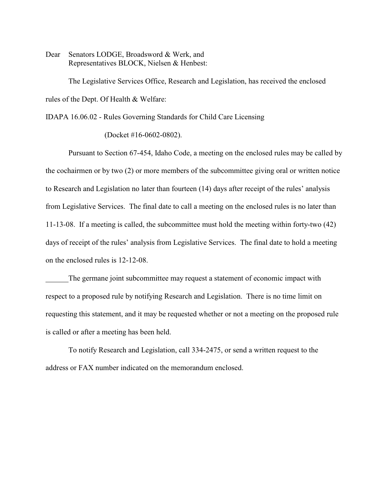Dear Senators LODGE, Broadsword & Werk, and Representatives BLOCK, Nielsen & Henbest:

The Legislative Services Office, Research and Legislation, has received the enclosed rules of the Dept. Of Health & Welfare:

IDAPA 16.06.02 - Rules Governing Standards for Child Care Licensing

(Docket #16-0602-0802).

Pursuant to Section 67-454, Idaho Code, a meeting on the enclosed rules may be called by the cochairmen or by two (2) or more members of the subcommittee giving oral or written notice to Research and Legislation no later than fourteen (14) days after receipt of the rules' analysis from Legislative Services. The final date to call a meeting on the enclosed rules is no later than 11-13-08. If a meeting is called, the subcommittee must hold the meeting within forty-two (42) days of receipt of the rules' analysis from Legislative Services. The final date to hold a meeting on the enclosed rules is 12-12-08.

The germane joint subcommittee may request a statement of economic impact with respect to a proposed rule by notifying Research and Legislation. There is no time limit on requesting this statement, and it may be requested whether or not a meeting on the proposed rule is called or after a meeting has been held.

To notify Research and Legislation, call 334-2475, or send a written request to the address or FAX number indicated on the memorandum enclosed.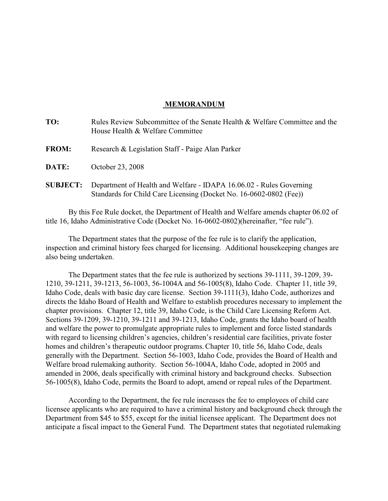## **MEMORANDUM**

| TO:             | Rules Review Subcommittee of the Senate Health & Welfare Committee and the<br>House Health & Welfare Committee                            |
|-----------------|-------------------------------------------------------------------------------------------------------------------------------------------|
| <b>FROM:</b>    | Research & Legislation Staff - Paige Alan Parker                                                                                          |
| <b>DATE:</b>    | October 23, 2008                                                                                                                          |
| <b>SUBJECT:</b> | Department of Health and Welfare - IDAPA 16.06.02 - Rules Governing<br>Standards for Child Care Licensing (Docket No. 16-0602-0802 (Fee)) |

By this Fee Rule docket, the Department of Health and Welfare amends chapter 06.02 of title 16, Idaho Administrative Code (Docket No. 16-0602-0802)(hereinafter, "fee rule").

The Department states that the purpose of the fee rule is to clarify the application, inspection and criminal history fees charged for licensing. Additional housekeeping changes are also being undertaken.

The Department states that the fee rule is authorized by sections 39-1111, 39-1209, 39- 1210, 39-1211, 39-1213, 56-1003, 56-1004A and 56-1005(8), Idaho Code. Chapter 11, title 39, Idaho Code, deals with basic day care license. Section 39-1111(3), Idaho Code, authorizes and directs the Idaho Board of Health and Welfare to establish procedures necessary to implement the chapter provisions. Chapter 12, title 39, Idaho Code, is the Child Care Licensing Reform Act. Sections 39-1209, 39-1210, 39-1211 and 39-1213, Idaho Code, grants the Idaho board of health and welfare the power to promulgate appropriate rules to implement and force listed standards with regard to licensing children's agencies, children's residential care facilities, private foster homes and children's therapeutic outdoor programs.Chapter 10, title 56, Idaho Code, deals generally with the Department. Section 56-1003, Idaho Code, provides the Board of Health and Welfare broad rulemaking authority. Section 56-1004A, Idaho Code, adopted in 2005 and amended in 2006, deals specifically with criminal history and background checks. Subsection 56-1005(8), Idaho Code, permits the Board to adopt, amend or repeal rules of the Department.

According to the Department, the fee rule increases the fee to employees of child care licensee applicants who are required to have a criminal history and background check through the Department from \$45 to \$55, except for the initial licensee applicant. The Department does not anticipate a fiscal impact to the General Fund. The Department states that negotiated rulemaking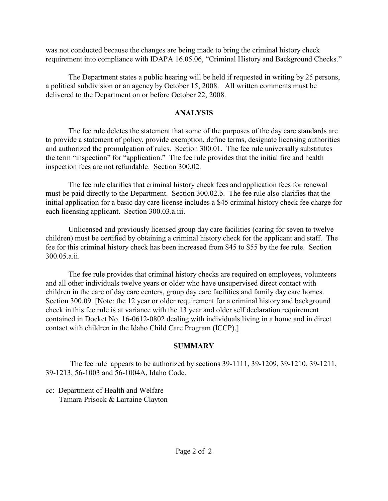was not conducted because the changes are being made to bring the criminal history check requirement into compliance with IDAPA 16.05.06, "Criminal History and Background Checks."

The Department states a public hearing will be held if requested in writing by 25 persons, a political subdivision or an agency by October 15, 2008. All written comments must be delivered to the Department on or before October 22, 2008.

## **ANALYSIS**

The fee rule deletes the statement that some of the purposes of the day care standards are to provide a statement of policy, provide exemption, define terms, designate licensing authorities and authorized the promulgation of rules. Section 300.01. The fee rule universally substitutes the term "inspection" for "application." The fee rule provides that the initial fire and health inspection fees are not refundable. Section 300.02.

The fee rule clarifies that criminal history check fees and application fees for renewal must be paid directly to the Department. Section 300.02.b. The fee rule also clarifies that the initial application for a basic day care license includes a \$45 criminal history check fee charge for each licensing applicant. Section 300.03.a.iii.

Unlicensed and previously licensed group day care facilities (caring for seven to twelve children) must be certified by obtaining a criminal history check for the applicant and staff. The fee for this criminal history check has been increased from \$45 to \$55 by the fee rule. Section 300.05.a.ii.

The fee rule provides that criminal history checks are required on employees, volunteers and all other individuals twelve years or older who have unsupervised direct contact with children in the care of day care centers, group day care facilities and family day care homes. Section 300.09. [Note: the 12 year or older requirement for a criminal history and background check in this fee rule is at variance with the 13 year and older self declaration requirement contained in Docket No. 16-0612-0802 dealing with individuals living in a home and in direct contact with children in the Idaho Child Care Program (ICCP).]

# **SUMMARY**

 The fee rule appears to be authorized by sections 39-1111, 39-1209, 39-1210, 39-1211, 39-1213, 56-1003 and 56-1004A, Idaho Code.

cc: Department of Health and Welfare Tamara Prisock & Larraine Clayton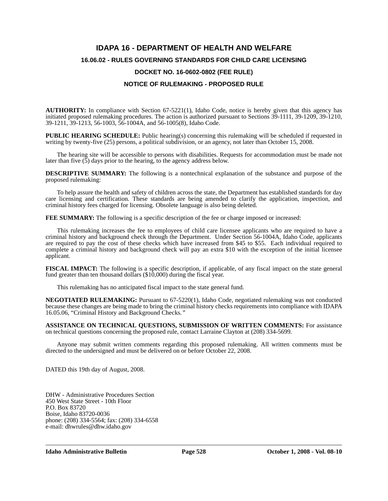# **IDAPA 16 - DEPARTMENT OF HEALTH AND WELFARE 16.06.02 - RULES GOVERNING STANDARDS FOR CHILD CARE LICENSING DOCKET NO. 16-0602-0802 (FEE RULE) NOTICE OF RULEMAKING - PROPOSED RULE**

**AUTHORITY:** In compliance with Section 67-5221(1), Idaho Code, notice is hereby given that this agency has initiated proposed rulemaking procedures. The action is authorized pursuant to Sections 39-1111, 39-1209, 39-1210, 39-1211, 39-1213, 56-1003, 56-1004A, and 56-1005(8), Idaho Code.

**PUBLIC HEARING SCHEDULE:** Public hearing(s) concerning this rulemaking will be scheduled if requested in writing by twenty-five (25) persons, a political subdivision, or an agency, not later than October 15, 2008.

The hearing site will be accessible to persons with disabilities. Requests for accommodation must be made not later than five (5) days prior to the hearing, to the agency address below.

**DESCRIPTIVE SUMMARY:** The following is a nontechnical explanation of the substance and purpose of the proposed rulemaking:

To help assure the health and safety of children across the state, the Department has established standards for day care licensing and certification. These standards are being amended to clarify the application, inspection, and criminal history fees charged for licensing. Obsolete language is also being deleted.

**FEE SUMMARY:** The following is a specific description of the fee or charge imposed or increased:

This rulemaking increases the fee to employees of child care licensee applicants who are required to have a criminal history and background check through the Department. Under Section 56-1004A, Idaho Code, applicants are required to pay the cost of these checks which have increased from \$45 to \$55. Each individual required to complete a criminal history and background check will pay an extra \$10 with the exception of the initial licensee applicant.

**FISCAL IMPACT:** The following is a specific description, if applicable, of any fiscal impact on the state general fund greater than ten thousand dollars (\$10,000) during the fiscal year.

This rulemaking has no anticipated fiscal impact to the state general fund.

**NEGOTIATED RULEMAKING:** Pursuant to 67-5220(1), Idaho Code, negotiated rulemaking was not conducted because these changes are being made to bring the criminal history checks requirements into compliance with IDAPA 16.05.06, "Criminal History and Background Checks*."*

**ASSISTANCE ON TECHNICAL QUESTIONS, SUBMISSION OF WRITTEN COMMENTS:** For assistance on technical questions concerning the proposed rule, contact Larraine Clayton at (208) 334-5699*.*

Anyone may submit written comments regarding this proposed rulemaking. All written comments must be directed to the undersigned and must be delivered on or before October 22, 2008.

DATED this 19th day of August, 2008.

DHW - Administrative Procedures Section 450 West State Street - 10th Floor P.O. Box 83720 Boise, Idaho 83720-0036 phone: (208) 334-5564; fax: (208) 334-6558 e-mail: dhwrules@dhw.idaho.gov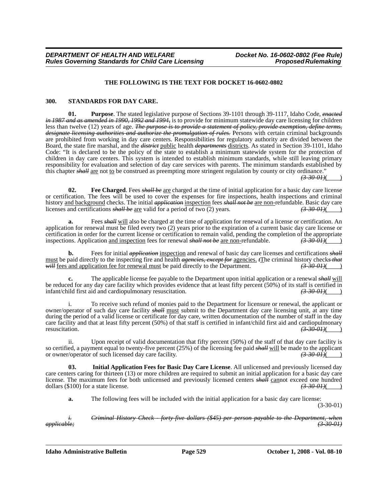#### **THE FOLLOWING IS THE TEXT FOR DOCKET 16-0602-0802**

#### **300. STANDARDS FOR DAY CARE.**

**01. Purpose**. The stated legislative purpose of Sections 39-1101 through 39-1117, Idaho Code, *enacted in 1987 and as amended in 1990, 1992 and 1994,* is to provide for minimum statewide day care licensing for children less than twelve (12) years of age. *The purpose is to provide a statement of policy, provide exemption, define terms, designate licensing authorities and authorize the promulgation of rules.* Persons with certain criminal backgrounds are prohibited from working in day care centers. Responsibilities for regulatory authority are divided between the Board, the state fire marshal, and the *district* public health *departments* districts. As stated in Section 39-1101, Idaho Code: "It is declared to be the policy of the state to establish a minimum statewide system for the protection of children in day care centers. This system is intended to establish minimum standards, while still leaving primary responsibility for evaluation and selection of day care services with parents. The minimum standards established by this chapter *shall* are not to be construed as preempting more stringent regulation by county or city ordinance." *(3-30-01)*( )

**02. Fee Charged**. Fees *shall be* are charged at the time of initial application for a basic day care license or certification. The fees will be used to cover the expenses for fire inspections, health inspections and criminal history <u>and background</u> checks. The initial *application* inspection fees *shall not be* are non-refundable. Basic day care licenses and certifications *shall be* are valid for a period of two (2) years. licenses and certifications *shall be* are valid for a period of two (2) years.

**a.** Fees *shall* will also be charged at the time of application for renewal of a license or certification. An application for renewal must be filed every two (2) years prior to the expiration of a current basic day care license or certification in order for the current license or certification to remain valid, pending the completion of the appropriate inspections. Application <u>and inspection</u> fees for renewal *shall not be* are non-refundable.  $(3-30-01)($ 

**b.** Fees for initial *application* inspection and renewal of basic day care licenses and certifications *shall* must be paid directly to the inspecting fire and health *agencies, except for* agencies,  $\epsilon$ The criminal history checks that will fees and application fee for renewal must be paid directly to the Department. *will* fees and application fee for renewal must be paid directly to the Department.

**c.** The applicable license fee payable to the Department upon initial application or a renewal *shall* will be reduced for any day care facility which provides evidence that at least fifty percent (50%) of its staff is certified in infant/child first aid and cardiopulmonary resuscitation.  $\left(3.300H\right)$ infant/child first aid and cardiopulmonary resuscitation.

To receive such refund of monies paid to the Department for licensure or renewal, the applicant or owner/operator of such day care facility *shall* must submit to the Department day care licensing unit, at any time during the period of a valid license or certificate for day care, written documentation of the number of staff in the day care facility and that at least fifty percent (50%) of that staff is certified in infant/child first aid and cardiopulmonary resuscitation. resuscitation.  $\left(3.30-0.01\right)(\frac{1}{2})$ 

ii. Upon receipt of valid documentation that fifty percent (50%) of the staff of that day care facility is so certified, a payment equal to twenty-five percent (25%) of the licensing fee paid *shall* will be made to the applicant or owner/operator of such licensed day care facility. *(3-30-01)*( )

**03. Initial Application Fees for Basic Day Care License**. All unlicensed and previously licensed day care centers caring for thirteen (13) or more children are required to submit an initial application for a basic day care license. The maximum fees for both unlicensed and previously licensed centers *shall* cannot exceed one hundred dollars (\$100) for a state license. dollars (\$100) for a state license.

**a.** The following fees will be included with the initial application for a basic day care license:

(3-30-01)

*i. Criminal History Check - forty-five dollars (\$45) per person payable to the Department, when applicable; (3-30-01)*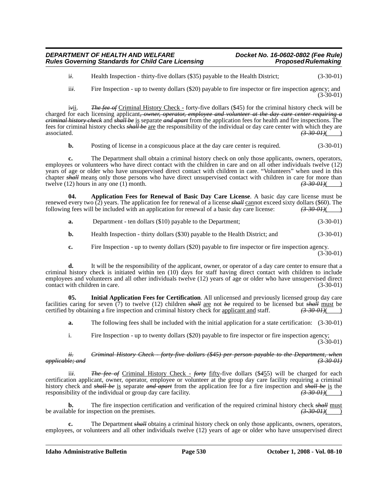i*i*. Health Inspection - thirty-five dollars (\$35) payable to the Health District; (3-30-01)

ii*i*. Fire Inspection - up to twenty dollars (\$20) payable to fire inspector or fire inspection agency; and (3-30-01)

i<del>v</del>ii. *The fee of* Criminal History Check - forty-five dollars (\$45) for the criminal history check will be charged for each licensing applicant*, owner, operator, employee and volunteer at the day care center requiring a criminal history check* and *shall be* is separate *and apart* from the application fees for health and fire inspections. The fees for criminal history checks *shall be* are the responsibility of the individual or day care center with which they are  $\frac{(3-30-01)}{2}$ 

**b.** Posting of license in a conspicuous place at the day care center is required.  $(3-30-01)$ 

**c.** The Department shall obtain a criminal history check on only those applicants, owners, operators, employees or volunteers who have direct contact with the children in care and on all other individuals twelve (12) years of age or older who have unsupervised direct contact with children in care. "Volunteers" when used in this chapter *shall* means only those persons who have direct unsupervised contact with children in care for more than twelve (12) hours in any one (1) month.  $\left(3-30-0.01\right)$ twelve  $(12)$  hours in any one  $(1)$  month.

**04. Application Fees for Renewal of Basic Day Care License**. A basic day care license must be renewed every two  $\overline{2}$ ) years. The application fee for renewal of a license *shall* cannot exceed sixty dollars (\$60). The following fees will be included with an application for renewal of a basic day care license: following fees will be included with an application for renewal of a basic day care license: *(3-30-01)*( )

| <b>a.</b> | Department - ten dollars (\$10) payable to the Department; | $(3-30-01)$ |
|-----------|------------------------------------------------------------|-------------|
|-----------|------------------------------------------------------------|-------------|

**b.** Health Inspection - thirty dollars (\$30) payable to the Health District; and (3-30-01)

**c.** Fire Inspection - up to twenty dollars (\$20) payable to fire inspector or fire inspection agency.

 $(3-30-01)$ 

**d.** It will be the responsibility of the applicant, owner, or operator of a day care center to ensure that a criminal history check is initiated within ten (10) days for staff having direct contact with children to include employees and volunteers and all other individuals twelve (12) years of age or older who have unsupervised direct contact with children in care. (3-30-01)

**05. Initial Application Fees for Certification**. All unlicensed and previously licensed group day care facilities caring for seven (7) to twelve (12) children *shall* are not *be* required to be licensed but *shall* must be certified by obtaining a fire inspection and criminal history check for <u>applicant and</u> staff. (3.30 certified by obtaining a fire inspection and criminal history check for <u>applicant and</u> staff.

**a.** The following fees shall be included with the initial application for a state certification:  $(3-30-01)$ 

i. Fire Inspection - up to twenty dollars (\$20) payable to fire inspector or fire inspection agency; (3-30-01)

#### *ii. Criminal History Check - forty-five dollars (\$45) per person payable to the Department, when applicable; and (3-30-01)*

ii*i*. *The fee of* Criminal History Check - *forty* fifty-five dollars (\$*4*55) will be charged for each certification applicant, owner, operator, employee or volunteer at the group day care facility requiring a criminal history check and *shall be* is separate *and apart* from the application fee for a fire inspection and *shall be* is the responsibility of the individual or group day care facility.  $(3-30-01)()$ 

**b.** The fire inspection certification and verification of the required criminal history check *shall* must ble for inspection on the premises.  $\left(3\text{-}30\text{-}01\right)$ be available for inspection on the premises.

**c.** The Department *shall* obtains a criminal history check on only those applicants, owners, operators, employees, or volunteers and all other individuals twelve (12) years of age or older who have unsupervised direct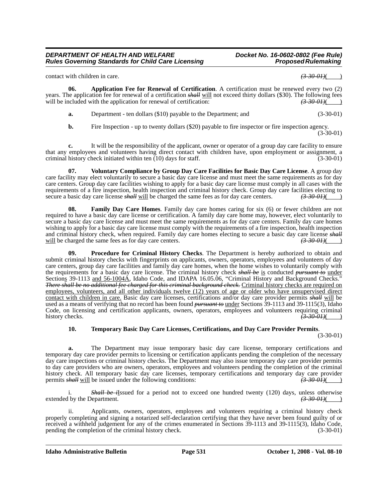#### *DEPARTMENT OF HEALTH AND WELFARE Docket No. 16-0602-0802 (Fee Rule)* **Rules Governing Standards for Child Care Licensing**

contact with children in care.  $\left(3-30-01\right)$ 

**06. Application Fee for Renewal of Certification**. A certification must be renewed every two (2) years. The application fee for renewal of a certification *shall* will not exceed thirty dollars (\$30). The following fees will be included with the application for renewal of certification:  $\left(3.30, 4.30, 0.01\right)$ will be included with the application for renewal of certification:

| а. | Department - ten dollars (\$10) payable to the Department; and | $(3-30-01)$ |
|----|----------------------------------------------------------------|-------------|
|----|----------------------------------------------------------------|-------------|

**b.** Fire Inspection - up to twenty dollars (\$20) payable to fire inspector or fire inspection agency. (3-30-01)

**c.** It will be the responsibility of the applicant, owner or operator of a group day care facility to ensure that any employees and volunteers having direct contact with children have, upon employment or assignment, a criminal history check initiated within ten (10) days for staff. (3-30-01)

**07. Voluntary Compliance by Group Day Care Facilities for Basic Day Care License**. A group day care facility may elect voluntarily to secure a basic day care license and must meet the same requirements as for day care centers. Group day care facilities wishing to apply for a basic day care license must comply in all cases with the requirements of a fire inspection, health inspection and criminal history check. Group day care facilities electing to secure a basic day care license shall will be charged the same fees as for day care centers.  $\left(3.300$ secure a basic day care license *shall* will be charged the same fees as for day care centers.

**08. Family Day Care Homes**. Family day care homes caring for six (6) or fewer children are not required to have a basic day care license or certification. A family day care home may, however, elect voluntarily to secure a basic day care license and must meet the same requirements as for day care centers. Family day care homes wishing to apply for a basic day care license must comply with the requirements of a fire inspection, health inspection and criminal history check, when required. Family day care homes electing to secure a basic day care license *shall* will be charged the same fees as for day care centers.  $\left(3-30-01\right)$ 

**09. Procedure for Criminal History Checks**. The Department is hereby authorized to obtain and submit criminal history checks with fingerprints on applicants, owners, operators, employees and volunteers of day care centers, group day care facilities and family day care homes, when the home wishes to voluntarily comply with the requirements for a basic day care license. The criminal history check *shall be* is conducted *pursuant to* under Sections 39-1113 and 56-1004A, Idaho Code, and IDAPA 16.05.06, "Criminal History and Background Checks." *There shall be no additional fee charged for this criminal background check.* Criminal history checks are required on employees, volunteers, and all other individuals twelve (12) years of age or older who have unsupervised direct contact with children in care. Basic day care licenses, certifications and/or day care provider permits *shall* will be used as a means of verifying that no record has been found *pursuant to* under Sections 39-1113 and 39-1115(3), Idaho Code, on licensing and certification applicants, owners, operators, employees and volunteers requiring criminal history checks. *(3-30-01)***( ) (3-30-01)** 

### **10. Temporary Basic Day Care Licenses, Certifications, and Day Care Provider Permits**.

(3-30-01)

**a.** The Department may issue temporary basic day care license, temporary certifications and temporary day care provider permits to licensing or certification applicants pending the completion of the necessary day care inspections or criminal history checks. The Department may also issue temporary day care provider permits to day care providers who are owners, operators, employees and volunteers pending the completion of the criminal history check. All temporary basic day care licenses, temporary certifications and temporary day care provider permits  $shall$  will be issued under the following conditions: permits *shall* will be issued under the following conditions:

i. *Shall be i*Issued for a period not to exceed one hundred twenty (120) days, unless otherwise extended by the Department. *(3-30-01)*(*)* 

ii. Applicants, owners, operators, employees and volunteers requiring a criminal history check properly completing and signing a notarized self-declaration certifying that they have never been found guilty of or received a withheld judgement for any of the crimes enumerated in Sections 39-1113 and 39-1115(3), Idaho Code, pending the completion of the criminal history check. (3-30-01)